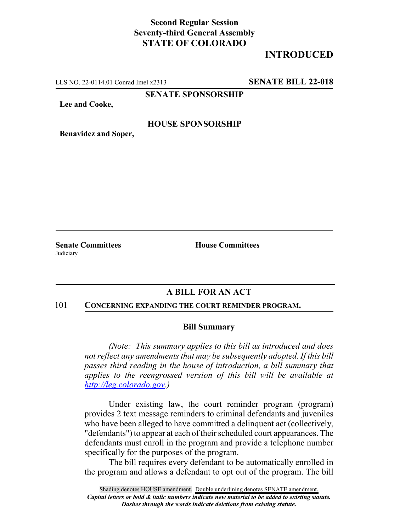## **Second Regular Session Seventy-third General Assembly STATE OF COLORADO**

# **INTRODUCED**

LLS NO. 22-0114.01 Conrad Imel x2313 **SENATE BILL 22-018**

**SENATE SPONSORSHIP**

**Lee and Cooke,**

### **HOUSE SPONSORSHIP**

**Benavidez and Soper,**

**Judiciary** 

**Senate Committees House Committees** 

## **A BILL FOR AN ACT**

#### 101 **CONCERNING EXPANDING THE COURT REMINDER PROGRAM.**

#### **Bill Summary**

*(Note: This summary applies to this bill as introduced and does not reflect any amendments that may be subsequently adopted. If this bill passes third reading in the house of introduction, a bill summary that applies to the reengrossed version of this bill will be available at http://leg.colorado.gov.)*

Under existing law, the court reminder program (program) provides 2 text message reminders to criminal defendants and juveniles who have been alleged to have committed a delinquent act (collectively, "defendants") to appear at each of their scheduled court appearances. The defendants must enroll in the program and provide a telephone number specifically for the purposes of the program.

The bill requires every defendant to be automatically enrolled in the program and allows a defendant to opt out of the program. The bill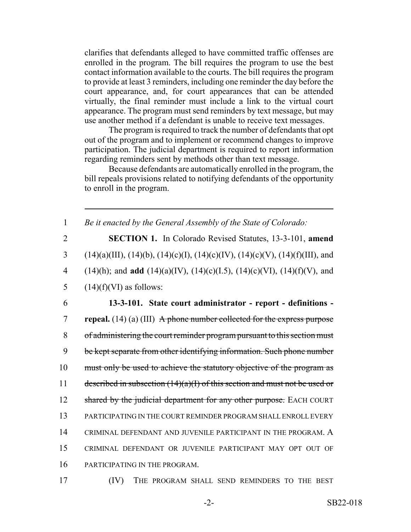clarifies that defendants alleged to have committed traffic offenses are enrolled in the program. The bill requires the program to use the best contact information available to the courts. The bill requires the program to provide at least 3 reminders, including one reminder the day before the court appearance, and, for court appearances that can be attended virtually, the final reminder must include a link to the virtual court appearance. The program must send reminders by text message, but may use another method if a defendant is unable to receive text messages.

The program is required to track the number of defendants that opt out of the program and to implement or recommend changes to improve participation. The judicial department is required to report information regarding reminders sent by methods other than text message.

Because defendants are automatically enrolled in the program, the bill repeals provisions related to notifying defendants of the opportunity to enroll in the program.

1 *Be it enacted by the General Assembly of the State of Colorado:*

 **SECTION 1.** In Colorado Revised Statutes, 13-3-101, **amend** 3 (14)(a)(III), (14)(b), (14)(c)(I), (14)(c)(IV), (14)(c)(V), (14)(f)(III), and (14)(h); and **add** (14)(a)(IV), (14)(c)(I.5), (14)(c)(VI), (14)(f)(V), and  $(14)(f)(VI)$  as follows:

 **13-3-101. State court administrator - report - definitions - repeal.** (14) (a) (III) A phone number collected for the express purpose of administering the court reminder program pursuant to this section must 9 be kept separate from other identifying information. Such phone number 10 must only be used to achieve the statutory objective of the program as 11 described in subsection  $(14)(a)(I)$  of this section and must not be used or 12 shared by the judicial department for any other purpose. EACH COURT PARTICIPATING IN THE COURT REMINDER PROGRAM SHALL ENROLL EVERY CRIMINAL DEFENDANT AND JUVENILE PARTICIPANT IN THE PROGRAM. A CRIMINAL DEFENDANT OR JUVENILE PARTICIPANT MAY OPT OUT OF PARTICIPATING IN THE PROGRAM.

17 (IV) THE PROGRAM SHALL SEND REMINDERS TO THE BEST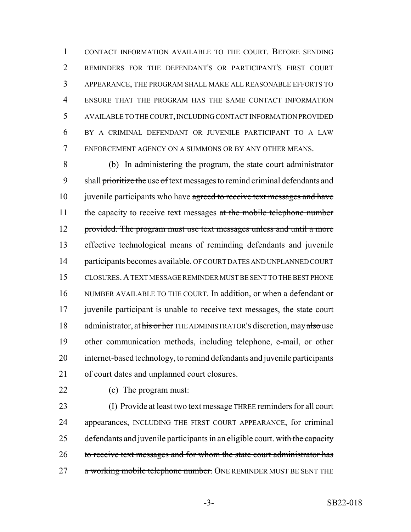CONTACT INFORMATION AVAILABLE TO THE COURT. BEFORE SENDING REMINDERS FOR THE DEFENDANT'S OR PARTICIPANT'S FIRST COURT APPEARANCE, THE PROGRAM SHALL MAKE ALL REASONABLE EFFORTS TO ENSURE THAT THE PROGRAM HAS THE SAME CONTACT INFORMATION AVAILABLE TO THE COURT, INCLUDING CONTACT INFORMATION PROVIDED BY A CRIMINAL DEFENDANT OR JUVENILE PARTICIPANT TO A LAW ENFORCEMENT AGENCY ON A SUMMONS OR BY ANY OTHER MEANS.

 (b) In administering the program, the state court administrator 9 shall prioritize the use of text messages to remind criminal defendants and 10 juvenile participants who have agreed to receive text messages and have 11 the capacity to receive text messages at the mobile telephone number 12 provided. The program must use text messages unless and until a more effective technological means of reminding defendants and juvenile 14 participants becomes available. OF COURT DATES AND UNPLANNED COURT CLOSURES.A TEXT MESSAGE REMINDER MUST BE SENT TO THE BEST PHONE NUMBER AVAILABLE TO THE COURT. In addition, or when a defendant or juvenile participant is unable to receive text messages, the state court 18 administrator, at his or her THE ADMINISTRATOR's discretion, may also use other communication methods, including telephone, e-mail, or other internet-based technology, to remind defendants and juvenile participants of court dates and unplanned court closures.

(c) The program must:

23 (I) Provide at least two text message THREE reminders for all court appearances, INCLUDING THE FIRST COURT APPEARANCE, for criminal 25 defendants and juvenile participants in an eligible court. with the capacity 26 to receive text messages and for whom the state court administrator has 27 a working mobile telephone number. ONE REMINDER MUST BE SENT THE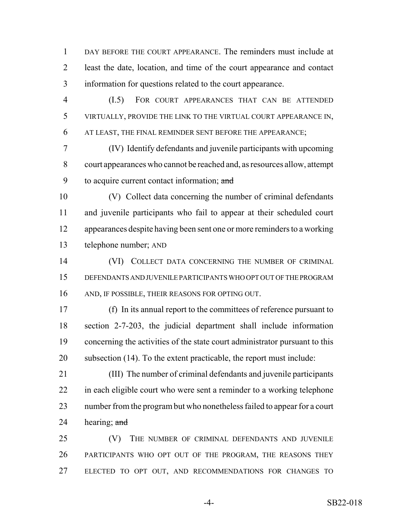DAY BEFORE THE COURT APPEARANCE. The reminders must include at least the date, location, and time of the court appearance and contact information for questions related to the court appearance.

 (I.5) FOR COURT APPEARANCES THAT CAN BE ATTENDED VIRTUALLY, PROVIDE THE LINK TO THE VIRTUAL COURT APPEARANCE IN, AT LEAST, THE FINAL REMINDER SENT BEFORE THE APPEARANCE;

 (IV) Identify defendants and juvenile participants with upcoming court appearances who cannot be reached and, as resources allow, attempt 9 to acquire current contact information; and

 (V) Collect data concerning the number of criminal defendants and juvenile participants who fail to appear at their scheduled court appearances despite having been sent one or more reminders to a working telephone number; AND

14 (VI) COLLECT DATA CONCERNING THE NUMBER OF CRIMINAL DEFENDANTS AND JUVENILE PARTICIPANTS WHO OPT OUT OF THE PROGRAM AND, IF POSSIBLE, THEIR REASONS FOR OPTING OUT.

 (f) In its annual report to the committees of reference pursuant to section 2-7-203, the judicial department shall include information concerning the activities of the state court administrator pursuant to this subsection (14). To the extent practicable, the report must include:

 (III) The number of criminal defendants and juvenile participants 22 in each eligible court who were sent a reminder to a working telephone number from the program but who nonetheless failed to appear for a court 24 hearing;  $\frac{and}{}$ 

25 (V) THE NUMBER OF CRIMINAL DEFENDANTS AND JUVENILE PARTICIPANTS WHO OPT OUT OF THE PROGRAM, THE REASONS THEY ELECTED TO OPT OUT, AND RECOMMENDATIONS FOR CHANGES TO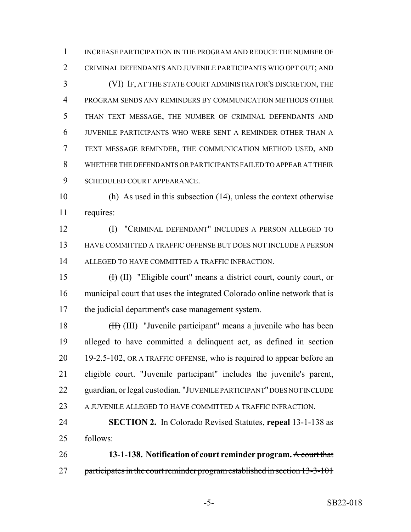INCREASE PARTICIPATION IN THE PROGRAM AND REDUCE THE NUMBER OF CRIMINAL DEFENDANTS AND JUVENILE PARTICIPANTS WHO OPT OUT; AND (VI) IF, AT THE STATE COURT ADMINISTRATOR'S DISCRETION, THE PROGRAM SENDS ANY REMINDERS BY COMMUNICATION METHODS OTHER THAN TEXT MESSAGE, THE NUMBER OF CRIMINAL DEFENDANTS AND JUVENILE PARTICIPANTS WHO WERE SENT A REMINDER OTHER THAN A TEXT MESSAGE REMINDER, THE COMMUNICATION METHOD USED, AND WHETHER THE DEFENDANTS OR PARTICIPANTS FAILED TO APPEAR AT THEIR SCHEDULED COURT APPEARANCE.

 (h) As used in this subsection (14), unless the context otherwise requires:

 (I) "CRIMINAL DEFENDANT" INCLUDES A PERSON ALLEGED TO HAVE COMMITTED A TRAFFIC OFFENSE BUT DOES NOT INCLUDE A PERSON ALLEGED TO HAVE COMMITTED A TRAFFIC INFRACTION.

15  $(H)$  (II) "Eligible court" means a district court, county court, or municipal court that uses the integrated Colorado online network that is the judicial department's case management system.

18 (III) "Juvenile participant" means a juvenile who has been alleged to have committed a delinquent act, as defined in section 19-2.5-102, OR A TRAFFIC OFFENSE, who is required to appear before an eligible court. "Juvenile participant" includes the juvenile's parent, guardian, or legal custodian. "JUVENILE PARTICIPANT" DOES NOT INCLUDE A JUVENILE ALLEGED TO HAVE COMMITTED A TRAFFIC INFRACTION.

# **SECTION 2.** In Colorado Revised Statutes, **repeal** 13-1-138 as follows:

 **13-1-138. Notification of court reminder program.** A court that 27 participates in the court reminder program established in section 13-3-101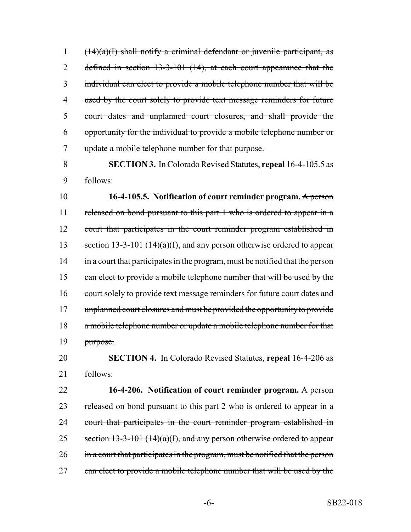(14)(a)(I) shall notify a criminal defendant or juvenile participant, as 2 defined in section 13-3-101 (14), at each court appearance that the individual can elect to provide a mobile telephone number that will be 4 used by the court solely to provide text message reminders for future court dates and unplanned court closures, and shall provide the opportunity for the individual to provide a mobile telephone number or update a mobile telephone number for that purpose.

8 **SECTION 3.** In Colorado Revised Statutes, **repeal** 16-4-105.5 as 9 follows:

10 **16-4-105.5. Notification of court reminder program.** A person 11 released on bond pursuant to this part 1 who is ordered to appear in a 12 court that participates in the court reminder program established in 13 section 13-3-101 (14)(a)(I), and any person otherwise ordered to appear 14 in a court that participates in the program, must be notified that the person 15 can elect to provide a mobile telephone number that will be used by the 16 court solely to provide text message reminders for future court dates and 17 unplanned court closures and must be provided the opportunity to provide 18 a mobile telephone number or update a mobile telephone number for that 19 purpose.

20 **SECTION 4.** In Colorado Revised Statutes, **repeal** 16-4-206 as 21 follows:

22 **16-4-206. Notification of court reminder program.** A person 23 released on bond pursuant to this part 2 who is ordered to appear in a 24 court that participates in the court reminder program established in 25 section  $13-3-101$  (14)(a)(I), and any person otherwise ordered to appear 26 in a court that participates in the program, must be notified that the person 27 can elect to provide a mobile telephone number that will be used by the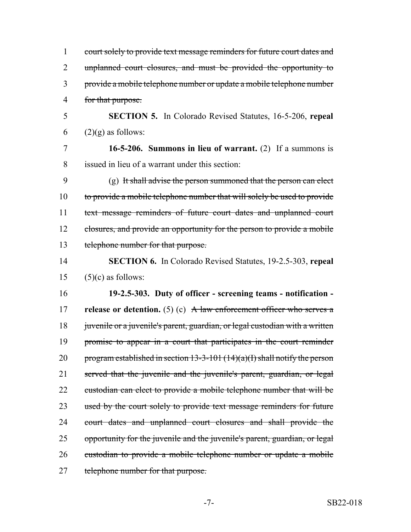| $\mathbf{1}$   | court solely to provide text message reminders for future court dates and      |
|----------------|--------------------------------------------------------------------------------|
| $\overline{2}$ | unplanned court closures, and must be provided the opportunity to              |
| 3              | provide a mobile telephone number or update a mobile telephone number          |
| $\overline{4}$ | for that purpose.                                                              |
| 5              | <b>SECTION 5.</b> In Colorado Revised Statutes, 16-5-206, repeal               |
| 6              | $(2)(g)$ as follows:                                                           |
| 7              | 16-5-206. Summons in lieu of warrant. $(2)$ If a summons is                    |
| 8              | issued in lieu of a warrant under this section:                                |
| 9              | $(g)$ It shall advise the person summoned that the person can elect            |
| 10             | to provide a mobile telephone number that will solely be used to provide       |
| 11             | text message reminders of future court dates and unplanned court               |
| 12             | closures, and provide an opportunity for the person to provide a mobile        |
| 13             | telephone number for that purpose.                                             |
| 14             | <b>SECTION 6.</b> In Colorado Revised Statutes, 19-2.5-303, repeal             |
| 15             | $(5)(c)$ as follows:                                                           |
| 16             | 19-2.5-303. Duty of officer - screening teams - notification -                 |
| 17             | release or detention. (5) (c) A law enforcement officer who serves a           |
| 18             | juvenile or a juvenile's parent, guardian, or legal custodian with a written   |
| 19             | promise to appear in a court that participates in the court reminder           |
| 20             | program established in section $13-3-101$ $(14)(a)(I)$ shall notify the person |
| 21             | served that the juvenile and the juvenile's parent, guardian, or legal         |
| 22             | eustodian can elect to provide a mobile telephone number that will be          |
| 23             | used by the court solely to provide text message reminders for future          |
| 24             | court dates and unplanned court closures and shall provide the                 |
| 25             | opportunity for the juvenile and the juvenile's parent, guardian, or legal     |
| 26             | custodian to provide a mobile telephone number or update a mobile              |
| 27             | telephone number for that purpose.                                             |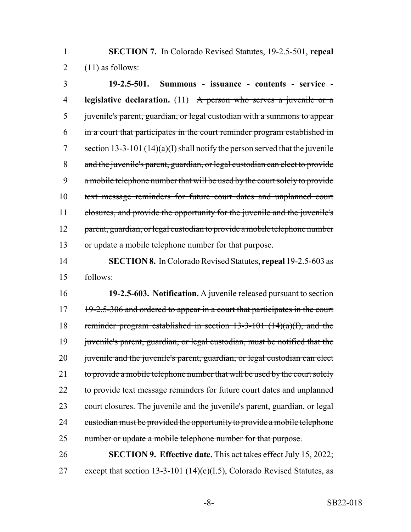1 **SECTION 7.** In Colorado Revised Statutes, 19-2.5-501, **repeal** 2  $(11)$  as follows:

3 **19-2.5-501. Summons - issuance - contents - service -** 4 **legislative declaration.** (11) A person who serves a juvenile or a 5 juvenile's parent, guardian, or legal custodian with a summons to appear 6 in a court that participates in the court reminder program established in 7 section  $13-3-101(14)(a)(I)$  shall notify the person served that the juvenile 8 and the juvenile's parent, guardian, or legal custodian can elect to provide 9 a mobile telephone number that will be used by the court solely to provide 10 text message reminders for future court dates and unplanned court 11 closures, and provide the opportunity for the juvenile and the juvenile's 12 parent, guardian, or legal custodian to provide a mobile telephone number 13 or update a mobile telephone number for that purpose.

14 **SECTION 8.** In Colorado Revised Statutes, **repeal** 19-2.5-603 as 15 follows:

16 **19-2.5-603. Notification.** A juvenile released pursuant to section  $17$  19-2.5-306 and ordered to appear in a court that participates in the court 18 reminder program established in section 13-3-101 (14)(a)(I), and the 19 juvenile's parent, guardian, or legal custodian, must be notified that the 20 juvenile and the juvenile's parent, guardian, or legal custodian can elect 21 to provide a mobile telephone number that will be used by the court solely 22 to provide text message reminders for future court dates and unplanned 23 court closures. The juvenile and the juvenile's parent, guardian, or legal 24 custodian must be provided the opportunity to provide a mobile telephone 25 number or update a mobile telephone number for that purpose.

26 **SECTION 9. Effective date.** This act takes effect July 15, 2022; 27 except that section 13-3-101 (14)(c)(I.5), Colorado Revised Statutes, as